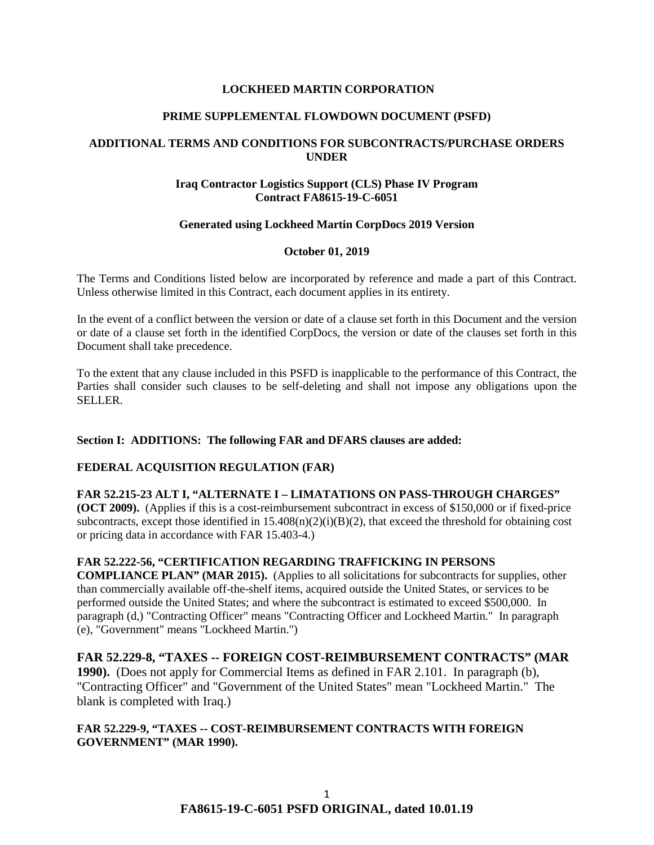### **LOCKHEED MARTIN CORPORATION**

#### **PRIME SUPPLEMENTAL FLOWDOWN DOCUMENT (PSFD)**

# **ADDITIONAL TERMS AND CONDITIONS FOR SUBCONTRACTS/PURCHASE ORDERS UNDER**

# **Iraq Contractor Logistics Support (CLS) Phase IV Program Contract FA8615-19-C-6051**

#### **Generated using Lockheed Martin CorpDocs 2019 Version**

#### **October 01, 2019**

The Terms and Conditions listed below are incorporated by reference and made a part of this Contract. Unless otherwise limited in this Contract, each document applies in its entirety.

In the event of a conflict between the version or date of a clause set forth in this Document and the version or date of a clause set forth in the identified CorpDocs, the version or date of the clauses set forth in this Document shall take precedence.

To the extent that any clause included in this PSFD is inapplicable to the performance of this Contract, the Parties shall consider such clauses to be self-deleting and shall not impose any obligations upon the SELLER.

# **Section I: ADDITIONS: The following FAR and DFARS clauses are added:**

# **[FEDERAL ACQUISITION REGULATION \(FAR\)](https://www.acquisition.gov/browsefar)**

# **FAR 52.215-23 ALT I, "ALTERNATE I – LIMATATIONS ON PASS-THROUGH CHARGES"**

**(OCT 2009).** (Applies if this is a cost-reimbursement subcontract in excess of \$150,000 or if fixed-price subcontracts, except those identified in  $15.408(n)(2)(i)(B)(2)$ , that exceed the threshold for obtaining cost or pricing data in accordance with FAR 15.403-4.)

#### **FAR 52.222-56, "CERTIFICATION REGARDING TRAFFICKING IN PERSONS**

**COMPLIANCE PLAN" (MAR 2015).** (Applies to all solicitations for subcontracts for supplies, other than commercially available off-the-shelf items, acquired outside the United States, or services to be performed outside the United States; and where the subcontract is estimated to exceed \$500,000. In paragraph (d,) "Contracting Officer" means "Contracting Officer and Lockheed Martin." In paragraph (e), "Government" means "Lockheed Martin.")

# **FAR 52.229-8, "TAXES -- FOREIGN COST-REIMBURSEMENT CONTRACTS" (MAR**

**1990).** (Does not apply for Commercial Items as defined in FAR 2.101. In paragraph (b), "Contracting Officer" and "Government of the United States" mean "Lockheed Martin." The blank is completed with Iraq.)

#### **FAR 52.229-9, "TAXES -- COST-REIMBURSEMENT CONTRACTS WITH FOREIGN GOVERNMENT" (MAR 1990).**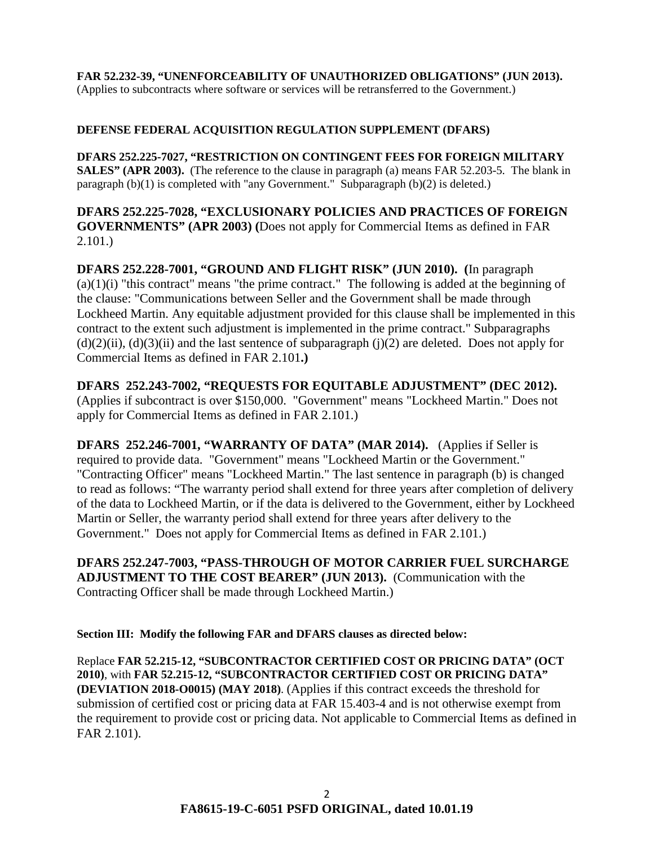**FAR 52.232-39, "UNENFORCEABILITY OF UNAUTHORIZED OBLIGATIONS" (JUN 2013).** (Applies to subcontracts where software or services will be retransferred to the Government.)

# **DEFENSE FEDERAL ACQUISITION REGULATION SUPPLEMENT (DFARS)**

**DFARS 252.225-7027, "RESTRICTION ON CONTINGENT FEES FOR FOREIGN MILITARY SALES" (APR 2003).** (The reference to the clause in paragraph (a) means FAR 52.203-5. The blank in paragraph (b)(1) is completed with "any Government." Subparagraph (b)(2) is deleted.)

**DFARS 252.225-7028, "EXCLUSIONARY POLICIES AND PRACTICES OF FOREIGN GOVERNMENTS" (APR 2003) (**Does not apply for Commercial Items as defined in FAR 2.101.)

**DFARS 252.228-7001, "GROUND AND FLIGHT RISK" (JUN 2010). (**In paragraph  $(a)(1)(i)$  "this contract" means "the prime contract." The following is added at the beginning of the clause: "Communications between Seller and the Government shall be made through Lockheed Martin. Any equitable adjustment provided for this clause shall be implemented in this contract to the extent such adjustment is implemented in the prime contract." Subparagraphs  $(d)(2)(ii)$ ,  $(d)(3)(ii)$  and the last sentence of subparagraph  $(i)(2)$  are deleted. Does not apply for Commercial Items as defined in FAR 2.101**.)** 

**DFARS 252.243-7002, "REQUESTS FOR EQUITABLE ADJUSTMENT" (DEC 2012).** (Applies if subcontract is over \$150,000. "Government" means "Lockheed Martin." Does not apply for Commercial Items as defined in FAR 2.101.)

**DFARS 252.246-7001, "WARRANTY OF DATA" (MAR 2014).** (Applies if Seller is required to provide data. "Government" means "Lockheed Martin or the Government." "Contracting Officer" means "Lockheed Martin." The last sentence in paragraph (b) is changed to read as follows: "The warranty period shall extend for three years after completion of delivery of the data to Lockheed Martin, or if the data is delivered to the Government, either by Lockheed Martin or Seller, the warranty period shall extend for three years after delivery to the Government." Does not apply for Commercial Items as defined in FAR 2.101.)

**DFARS 252.247-7003, "PASS-THROUGH OF MOTOR CARRIER FUEL SURCHARGE ADJUSTMENT TO THE COST BEARER" (JUN 2013).** (Communication with the Contracting Officer shall be made through Lockheed Martin.)

**Section III: Modify the following FAR and DFARS clauses as directed below:** 

Replace **FAR 52.215-12, "SUBCONTRACTOR CERTIFIED COST OR PRICING DATA" (OCT 2010)**, with **FAR 52.215-12, "SUBCONTRACTOR CERTIFIED COST OR PRICING DATA" (DEVIATION 2018-O0015) (MAY 2018)**. (Applies if this contract exceeds the threshold for submission of certified cost or pricing data at FAR 15.403-4 and is not otherwise exempt from the requirement to provide cost or pricing data. Not applicable to Commercial Items as defined in FAR 2.101).